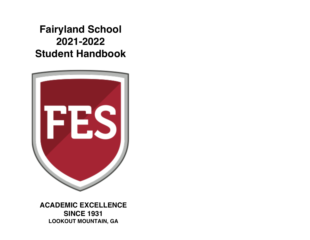# **Fairyland School 2021-2022 Student Handbook**



**ACADEMIC EXCELLENCE SINCE 1931 LOOKOUT MOUNTAIN, GA**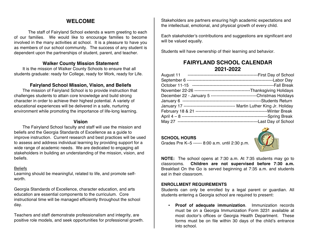# **WELCOME**

The staff of Fairyland School extends a warm greeting to each of our families. We would like to encourage families to become involved in the many activities at school. It is a pleasure to have you as members of our school community. The success of any student is dependent upon the partnerships of student, parent, and teacher.

# **Walker County Mission Statement**

It is the mission of Walker County Schools to ensure that all students graduate: ready for College, ready for Work, ready for Life.

# **Fairyland School Mission, Vision, and Beliefs**

The mission of Fairyland School is to provide instruction that challenges students to attain core knowledge and build strong character in order to achieve their highest potential. A variety of educational experiences will be delivered in a safe, nurturing environment while promoting the importance of life-long learning.

# **Vision**

The Fairyland School faculty and staff will use the mission and beliefs and the Georgia Standards of Excellence as a guide to improve instruction. Current research and best practices will be used to assess and address individual learning by providing support for a wide range of academic needs. We are dedicated to engaging all stakeholders in building an understanding of the mission, vision, and beliefs.

#### **Beliefs**

Learning should be meaningful, related to life, and promote selfworth.

Georgia Standards of Excellence, character education, and arts education are essential components to the curriculum. Core instructional time will be managed efficiently throughout the school day.

Teachers and staff demonstrate professionalism and integrity, are positive role models, and seek opportunities for professional growth. Stakeholders are partners ensuring high academic expectations and the intellectual, emotional, and physical growth of every child.

Each stakeholder's contributions and suggestions are significant and will be valued equally.

Students will have ownership of their learning and behavior.

# **FAIRYLAND SCHOOL CALENDAR 2021-2022**

| December 22 - January 5 ---------------------------------Christmas Holidays |
|-----------------------------------------------------------------------------|
|                                                                             |
|                                                                             |
|                                                                             |
|                                                                             |
|                                                                             |

# **SCHOOL HOURS**



Grades Pre K–5 ------ 8:00 a.m. until 2:30 p.m.

**NOTE:** The school opens at 7:30 a.m. At 7:35 students may go to classrooms. **Children are not supervised before 7:30 a.m.**  Breakfast On the Go is served beginning at 7:35 a.m. and students eat in their classroom.

# **ENROLLMENT REQUIREMENTS**

Students can only be enrolled by a legal parent or guardian. All students entering a Georgia school are required to present:

• **Proof of adequate immunization**. Immunization records must be on a Georgia Immunization Form 3231 available at most doctor's offices or Georgia Health Department. These forms must be on file within 30 days of the child's entrance into school.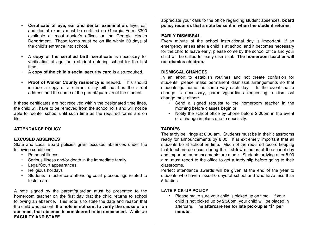- **Certificate of eye, ear and dental examination**. Eye, ear and dental exams must be certified on Georgia Form 3300 available at most doctor's offices or the Georgia Health Department. These forms must be on file within 30 days of the child's entrance into school.
- A **copy of the certified birth certificate** is necessary for verification of age for a student entering school for the first time.
- A **copy of the child's social security card** is also required.
- **Proof of Walker County residency** is needed. This should include a copy of a current utility bill that has the street address and the name of the parent/guardian of the student.

If these certificates are not received within the designated time lines, the child will have to be removed from the school rolls and will not be able to reenter school until such time as the required forms are on file.

#### **ATTENDANCE POLICY**

#### **EXCUSED ABSENCES**

State and Local Board policies grant excused absences under the following conditions:

- Personal illness
- Serious illness and/or death in the immediate family
- Legal/Court appearances
- Religious holidays
- Students in foster care attending court proceedings related to foster care.

A note signed by the parent/guardian must be presented to the homeroom teacher on the first day that the child returns to school following an absence. This note is to state the date and reason that the child was absent. **If a note is not sent to verify the cause of an absence, that absence is considered to be unexcused.** While we **FACULTY AND STAFF**

appreciate your calls to the office regarding student absences, **board policy requires that a note be sent in when the student returns**.

#### **EARLY DISMISSAL**

Every minute of the school instructional day is important. If an emergency arises after a child is at school and it becomes necessary for the child to leave early, please come by the school office and your child will be called for early dismissal. **The homeroom teacher will not dismiss children.** 

#### **DISMISSAL CHANGES**

In an effort to establish routines and not create confusion for students, please make permanent dismissal arrangements so that students go home the same way each day. In the event that a change is necessary, parents/guardians requesting a dismissal change must either:

- Send a signed request to the homeroom teacher in the morning before classes begin or
- Notify the school office by phone before 2:00pm in the event of a change in plans due to necessity.

#### **TARDIES**

The tardy bell rings at 8:00 am. Students must be in their classrooms ready for announcements by 8:00. It is extremely important that all students be at school on time. Much of the required record keeping that teachers do occur during the first few minutes of the school day and important announcements are made. Students arriving after 8:00 a.m. must report to the office to get a tardy slip before going to their classrooms.

Perfect attendance awards will be given at the end of the year to students who have missed 0 days of school and who have less than 5 tardies.

#### **LATE PICK-UP POLICY**

• Please make sure your child is picked up on time. If your child is not picked up by 2:50pm, your child will be placed in aftercare. The **aftercare fee for late pick-up is \*\$1 per minute**.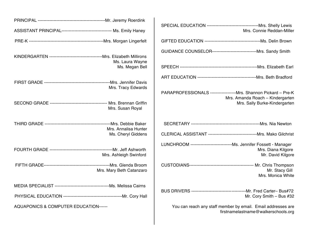| ASSISTANT PRINCIPAL----------------------------------- Ms. Emily Haney |                          | Mrs. Connie Reddan-Miller                                                                                         |
|------------------------------------------------------------------------|--------------------------|-------------------------------------------------------------------------------------------------------------------|
|                                                                        |                          |                                                                                                                   |
|                                                                        | Ms. Laura Wayne          | GUIDANCE COUNSELOR----------------------------------- Mrs. Sandy Smith                                            |
|                                                                        | Ms. Megan Bell           |                                                                                                                   |
|                                                                        |                          |                                                                                                                   |
|                                                                        | Mrs. Tracy Edwards       | PARAPROFESSIONALS -------------------Mrs. Shannon Pickard - Pre-K<br>Mrs. Amanda Roach - Kindergarten             |
|                                                                        | Mrs. Susan Royal         | Mrs. Sally Burke-Kindergarten                                                                                     |
|                                                                        | Mrs. Annalisa Hunter     |                                                                                                                   |
|                                                                        | Ms. Cheryl Giddens       |                                                                                                                   |
|                                                                        | Mrs. Ashleigh Swinford   | LUNCHROOM ------------------------------Ms. Jennifer Fossett - Manager<br>Mrs. Diana Kilgore<br>Mr. David Kilgore |
|                                                                        | Mrs. Mary Beth Catanzaro | Mr. Stacy Gill<br>Mrs. Monica White                                                                               |
|                                                                        |                          |                                                                                                                   |
|                                                                        |                          | Mr. Cory Smith - Bus #32                                                                                          |
| AQUAPONICS & COMPUTER EDUCATION------                                  |                          | You can reach any staff member by email. Email addresses are<br>firstnamelastname@walkerschools.org               |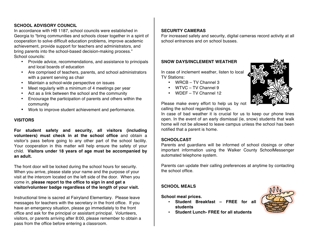# **SCHOOL ADVISORY COUNCIL**

In accordance with HB 1187, school councils were established in Georgia to "bring communities and schools closer together in a spirit of cooperation to solve difficult education problems, improve academic achievement, provide support for teachers and administrators, and bring parents into the school-based decision-making process." School councils:

- Provide advice, recommendations, and assistance to principals and local boards of education
- Are comprised of teachers, parents, and school administrators with a parent serving as chair
- Maintain a school-wide perspective on issues
- Meet regularly with a minimum of 4 meetings per year
- Act as a link between the school and the community
- Encourage the participation of parents and others within the community
- Work to improve student achievement and performance.

#### **VISITORS**

**For student safety and security, all visitors (including volunteers) must check in at the school office** and obtain a visitor's pass before going to any other part of the school facility. Your cooperation in this matter will help ensure the safety of your child. **Visitors under 18 years of age must be accompanied by an adult.**

The front door will be locked during the school hours for security. When you arrive, please state your name and the purpose of your visit at the intercom located on the left side of the door. When you come in, **please report to the office to sign in and get a visitor/volunteer badge regardless of the length of your visit.**

Instructional time is sacred at Fairyland Elementary. Please leave messages for teachers with the secretary in the front office. If you have an emergency situation, please go immediately to the front office and ask for the principal or assistant principal. Volunteers, visitors, or parents arriving after 8:00, please remember to obtain a pass from the office before entering a classroom.

#### **SECURITY CAMERAS**

For increased safety and security, digital cameras record activity at all school entrances and on school busses.

#### **SNOW DAYS/INCLEMENT WEATHER**

In case of inclement weather, listen to local TV Stations:

- WRCB TV Channel 3
- WTVC TV Channel 9
- WDEF TV Channel 12



Please make every effort to help us by not calling the school regarding closings.

In case of bad weather it is crucial for us to keep our phone lines open. In the event of an early dismissal (ie, snow) students that walk home will not be allowed to leave campus unless the school has been notified that a parent is home.

#### **SCHOOLCAST**

Parents and guardians will be informed of school closings or other important information using the Walker County SchoolMessenger automated telephone system.

Parents can update their calling preferences at anytime by contacting the school office.

# **SCHOOL MEALS**

**School meal prices.**

• **Student Breakfast – FREE for all students**



• **Student Lunch- FREE for all students**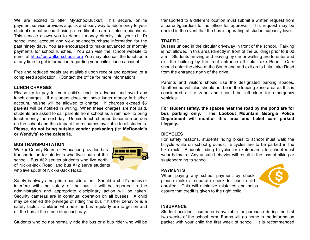We are excited to offer MySchoolBucks<sup>®</sup> This secure, online payment service provides a quick and easy way to add money to your student's meal account using a credit/debit card or electronic check. This service allows you to deposit money directly into your child's school meal account and view balance/purchase information for the past ninety days. You are encouraged to make advanced or monthly payments for school lunches. You can visit the school website to enroll at http://fes.walkerschools.org You may also call the lunchroom at any time to get information regarding your child's lunch account.

Free and reduced meals are available upon receipt and approval of a completed application. (Contact the office for more information)

#### **LUNCH CHARGES**

Please try to pay for your child's lunch in advance and avoid any lunch charges. If a student does not have lunch money in his/her account, he/she will be allowed to charge. If charges exceed \$5 parents will be notified in writing. When these charges are not paid, students are asked to call parents from school as a reminder to bring lunch money the next day. Unpaid lunch charges become a burden on the school and thus impact the resources available to all students. **Please**, **do not bring outside vendor packaging (ie: McDonald's or Wendy's) to the cafeteria.**

#### **BUS TRANSPORTATION**

Walker County Board of Education provides bus transportation for students who live south of the school. Bus #32 serves students who live north of Nick-a-jack Road, and bus #72 serve students who live south of Nick-a-Jack Road.



Safety is always the prime consideration. Should a child's behavior interfere with the safety of the bus, it will be reported to the administration and appropriate disciplinary action will be taken. Security cameras are in continual operation on all busses. A child may be denied the privilege of riding the bus if his/her behavior is a safety factor. Children who ride the bus regularly are to get on and off the bus at the same stop each day.

Students who do not normally ride the bus or a bus rider who will be

transported to a different location must submit a written request from a parent/guardian to the office for approval. This request may be denied in the event that the bus is operating at student capacity level.

#### **TRAFFIC**

Busses unload in the circular driveway in front of the school. Parking is not allowed in this area (directly in front of the building) prior to 8:00 a.m. Students arriving and leaving by car or walking are to enter and exit the building by the front entrance off Lula Lake Road. Cars should enter the drive at the South end and exit on to Lula Lake Road from the entrance north of the drive.

Parents and visitors should use the designated parking spaces. Unattended vehicles should not be in the loading zone area as this is considered a fire zone and should be left clear for emergency vehicles.

**For student safety, the spaces near the road by the pond are for bus parking only. The Lookout Mountain Georgia Police Department will monitor this area and ticket cars parked illegally.**

#### **BICYCLES**

For safety reasons, students riding bikes to school must walk the bicycle while on school grounds. Bicycles are to be parked in the bike rack. Students riding bicycles or skateboards to school must wear helmets. Any unsafe behavior will result in the loss of biking or skateboarding to school.

#### **PAYMENTS**

When paying any school payment by check, please make a separate check for each child enrolled. This will minimize mistakes and helps assure that credit is given to the right child.



#### **INSURANCE**

Student accident insurance is available for purchase during the first two weeks of the school term. Forms will go home in the information packet with your child the first week of school. It is recommended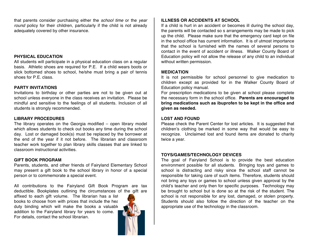that parents consider purchasing either the *school time* or the *year round* policy for their children, particularly if the child is not already adequately covered by other insurance.

#### **PHYSICAL EDUCATION**

All students will participate in a physical education class on a regular basis. Athletic shoes are required for P.E. If a child wears boots or slick bottomed shoes to school, he/she must bring a pair of tennis shoes for P.E. class.

#### **PARTY INVITATIONS**

Invitations to birthday or other parties are not to be given out at school unless everyone in the class receives an invitation. Please be mindful and sensitive to the feelings of all students. Inclusion of all students is strongly recommended.

#### **LIBRARY PROCEDURES**

The library operates on the Georgia modified – open library model which allows students to check out books any time during the school day. Lost or damaged book(s) must be replaced by the borrower at the end of the year if it not before. The librarian and classroom teacher work together to plan library skills classes that are linked to classroom instructional activities.

#### **GIFT BOOK PROGRAM**

Parents, students, and other friends of Fairyland Elementary School may present a gift book to the school library in honor of a special person or to commemorate a special event.

All contributions to the Fairyland Gift Book Program are tax deductible. Bookplates outlining the circumstances of the gift are

affixed to each gift volume. The librarian has a list books to choose from with prices that include the hea duty binding which will make the books a valuable addition to the Fairyland library for years to come. For details, contact the school librarian.



#### **ILLNESS OR ACCIDENTS AT SCHOOL**

If a child is hurt in an accident or becomes ill during the school day, the parents will be contacted so s arrangements may be made to pick up the child. Please make sure that the emergency card kept on file in the school office has current information. It is of utmost importance that the school is furnished with the names of several persons to contact in the event of accident or illness. Walker County Board of Education policy will not allow the release of any child to an individual without written permission.

#### **MEDICATION**

It is not permissible for school personnel to give medication to children except as provided for in the Walker County Board of Education policy manual.

For prescription medications to be given at school please complete the necessary form in the school office. **Parents are encouraged to bring medications such as ibuprofen to be kept in the office and given as needed.**

#### **LOST AND FOUND**

Please check the Parent Center for lost articles. It is suggested that children's clothing be marked in some way that would be easy to recognize. Unclaimed lost and found items are donated to charity twice a year.

#### **TOYS/GAMES/TECHNOLOGY DEVICES**

The goal of Fairyland School is to provide the best education environment possible for all students. Bringing toys and games to school is distracting and risky since the school staff cannot be responsible for taking care of such items. Therefore, students should not bring any toys or games to school unless given approval by the child's teacher and only then for specific purposes. Technology may be brought to school but is done so at the risk of the student. The school is not responsible for any lost, damaged, or stolen property. Students should also follow the direction of the teacher on the appropriate use of the technology in the classroom.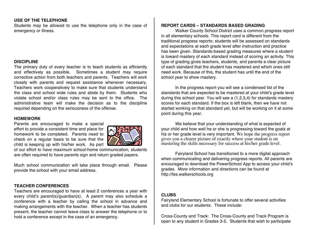#### **USE OF THE TELEPHONE**

Students may be allowed to use the telephone only in the case of emergency or illness.

#### **DISCIPLINE**

The primary duty of every teacher is to teach students as efficiently and effectively as possible. Sometimes a student may require corrective action from both teachers and parents. Teachers will work closely with parents and request assistance whenever necessary. Teachers work cooperatively to make sure that students understand the class and school wide rules and abide by them. Students who violate school and/or class rules may be sent to the office. The administrative team will make the decision as to the discipline required depending on the seriousness of the offense.

#### **HOMEWORK**

Parents are encouraged to make a special effort to provide a consistent time and place for homework to be completed. Parents need to check on a regular basis to be sure that the child is keeping up with his/her work. As part



of our effort to have maximum school-home communication, students are often required to have parents sign and return graded papers.

Much school communication will take place through email. Please provide the school with your email address.

#### **TEACHER CONFERENCES**

Teachers are encouraged to have at least 2 conferences a year with every child's parent(s)/guardian(s). A parent may also schedule a conference with a teacher by calling the school in advance and making arrangements with the teacher. When a teacher has students present, the teacher cannot leave class to answer the telephone or to hold a conference except in the case of an emergency.

#### **REPORT CARDS – STANDARDS BASED GRADING**

Walker County School District uses a common progress report in all elementary schools. This report card is different from the traditional progress reports; students will be assessed on standards and expectations at each grade level after instruction and practice has been given. Standards-based grading measures where a student is toward mastery of each standard instead of scoring an activity. This type of grading gives teachers, students, and parents a clear picture of each standard that the student has mastered and which ones still need work. Because of this, the student has until the end of the school year to show mastery.

In the progress report you will see a condensed list of the standards that are expected to be mastered at your child's grade level during this school year. You will see a (1,2,3,4) for standards mastery scores for each standard. If the box is left blank, then we have not started working on that standard yet, but will be working on it at some point during this year.

We believe that your understanding of what is expected of your child and how well he or she is progressing toward the goals at his or her grade level is very important. We hope the progress report gives you a clearer picture of exactly where your student is on mastering the skills necessary for success at his/her grade level.

Fairyland School has transitioned to a more digital approach when communicating and delivering progress reports. All parents are encouraged to download the PowerSchool App to access your child's grades. More information and directions can be found at http://fes.walkerschools.org

#### **CLUBS**

Fairyland Elementary School is fortunate to offer several activities and clubs for our students. These include:

Cross-County and Track: The Cross-County and Track Program is open to any student in Grades 3-5. Students that wish to participate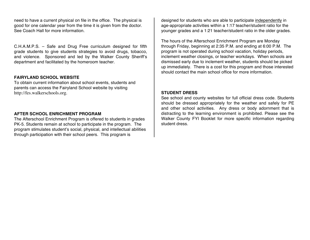need to have a current physical on file in the office. The physical is good for one calendar year from the time it is given from the doctor. See Coach Hall for more information.

C.H.A.M.P.S. – Safe and Drug Free curriculum designed for fifth grade students to give students strategies to avoid drugs, tobacco, and violence. Sponsored and led by the Walker County Sheriff's department and facilitated by the homeroom teacher.

#### **FAIRYLAND SCHOOL WEBSITE**

To obtain current information about school events, students and parents can access the Fairyland School website by visiting http://fes.walkerschools.org.

#### **AFTER SCHOOL ENRICHMENT PROGRAM**

The Afterschool Enrichment Program is offered to students in grades PK-5. Students remain at school to participate in the program. The program stimulates student's social, physical, and intellectual abilities through participation with their school peers. This program is

designed for students who are able to participate independently in age-appropriate activities within a 1:17 teacher/student ratio for the younger grades and a 1:21 teacher/student ratio in the older grades.

The hours of the Afterschool Enrichment Program are Monday through Friday, beginning at 2:35 P.M. and ending at 6:00 P.M. The program is not operated during school vacation, holiday periods, inclement weather closings, or teacher workdays. When schools are dismissed early due to inclement weather, students should be picked up immediately. There is a cost for this program and those interested should contact the main school office for more information.

#### **STUDENT DRESS**

See school and county websites for full official dress code. Students should be dressed appropriately for the weather and safely for PE and other school activities. Any dress or body adornment that is distracting to the learning environment is prohibited. Please see the Walker County FYI Booklet for more specific information regarding student dress.